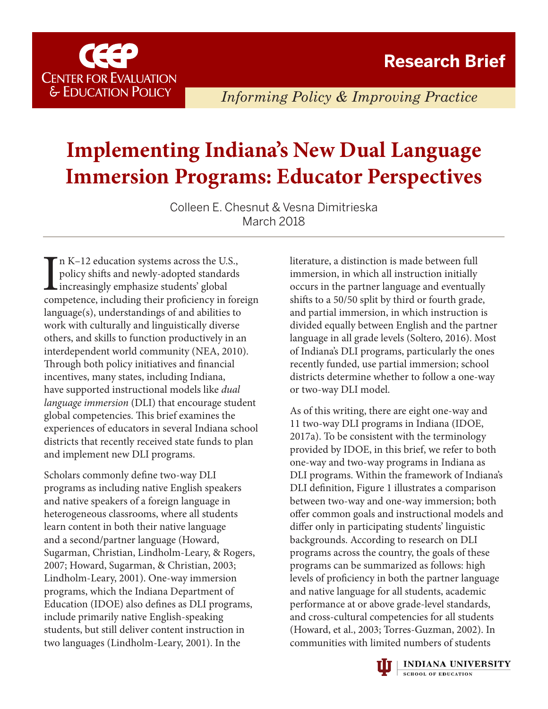

*Informing Policy & Improving Practice*

# **Implementing Indiana's New Dual Language Immersion Programs: Educator Perspectives**

Colleen E. Chesnut & Vesna Dimitrieska March 2018

In K-12 education systems across the U.S.,<br>policy shifts and newly-adopted standards<br>increasingly emphasize students' global<br>competence, including their proficiency in foreign n K–12 education systems across the U.S., policy shifts and newly-adopted standards increasingly emphasize students' global language(s), understandings of and abilities to work with culturally and linguistically diverse others, and skills to function productively in an interdependent world community (NEA, 2010). Through both policy initiatives and financial incentives, many states, including Indiana, have supported instructional models like *dual language immersion* (DLI) that encourage student global competencies. This brief examines the experiences of educators in several Indiana school districts that recently received state funds to plan and implement new DLI programs.

Scholars commonly define two-way DLI programs as including native English speakers and native speakers of a foreign language in heterogeneous classrooms, where all students learn content in both their native language and a second/partner language (Howard, Sugarman, Christian, Lindholm-Leary, & Rogers, 2007; Howard, Sugarman, & Christian, 2003; Lindholm-Leary, 2001). One-way immersion programs, which the Indiana Department of Education (IDOE) also defines as DLI programs, include primarily native English-speaking students, but still deliver content instruction in two languages (Lindholm-Leary, 2001). In the

literature, a distinction is made between full immersion, in which all instruction initially occurs in the partner language and eventually shifts to a 50/50 split by third or fourth grade, and partial immersion, in which instruction is divided equally between English and the partner language in all grade levels (Soltero, 2016). Most of Indiana's DLI programs, particularly the ones recently funded, use partial immersion; school districts determine whether to follow a one-way or two-way DLI model.

As of this writing, there are eight one-way and 11 two-way DLI programs in Indiana (IDOE, 2017a). To be consistent with the terminology provided by IDOE, in this brief, we refer to both one-way and two-way programs in Indiana as DLI programs. Within the framework of Indiana's DLI definition, Figure 1 illustrates a comparison between two-way and one-way immersion; both offer common goals and instructional models and differ only in participating students' linguistic backgrounds. According to research on DLI programs across the country, the goals of these programs can be summarized as follows: high levels of proficiency in both the partner language and native language for all students, academic performance at or above grade-level standards, and cross-cultural competencies for all students (Howard, et al., 2003; Torres-Guzman, 2002). In communities with limited numbers of students

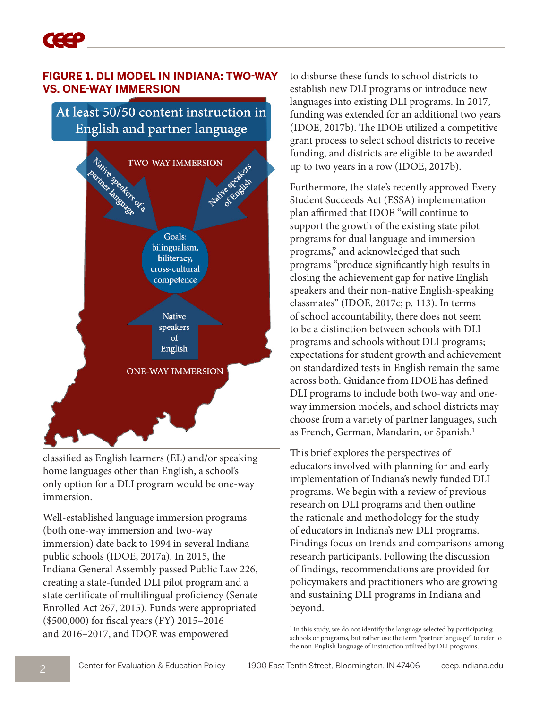#### **FIGURE 1. DLI MODEL IN INDIANA: TWO-WAY VS. ONE-WAY IMMERSION**

At least 50/50 content instruction in English and partner language



classified as English learners (EL) and/or speaking home languages other than English, a school's only option for a DLI program would be one-way immersion.

Well-established language immersion programs (both one-way immersion and two-way immersion) date back to 1994 in several Indiana public schools (IDOE, 2017a). In 2015, the Indiana General Assembly passed Public Law 226, creating a state-funded DLI pilot program and a state certificate of multilingual proficiency (Senate Enrolled Act 267, 2015). Funds were appropriated (\$500,000) for fiscal years (FY) 2015–2016 and 2016–2017, and IDOE was empowered

to disburse these funds to school districts to establish new DLI programs or introduce new languages into existing DLI programs. In 2017, funding was extended for an additional two years (IDOE, 2017b). The IDOE utilized a competitive grant process to select school districts to receive funding, and districts are eligible to be awarded up to two years in a row (IDOE, 2017b).

Furthermore, the state's recently approved Every Student Succeeds Act (ESSA) implementation plan affirmed that IDOE "will continue to support the growth of the existing state pilot programs for dual language and immersion programs," and acknowledged that such programs "produce significantly high results in closing the achievement gap for native English speakers and their non-native English-speaking classmates" (IDOE, 2017c; p. 113). In terms of school accountability, there does not seem to be a distinction between schools with DLI programs and schools without DLI programs; expectations for student growth and achievement on standardized tests in English remain the same across both. Guidance from IDOE has defined DLI programs to include both two-way and oneway immersion models, and school districts may choose from a variety of partner languages, such as French, German, Mandarin, or Spanish.<sup>1</sup>

This brief explores the perspectives of educators involved with planning for and early implementation of Indiana's newly funded DLI programs. We begin with a review of previous research on DLI programs and then outline the rationale and methodology for the study of educators in Indiana's new DLI programs. Findings focus on trends and comparisons among research participants. Following the discussion of findings, recommendations are provided for policymakers and practitioners who are growing and sustaining DLI programs in Indiana and beyond.

<sup>&</sup>lt;sup>1</sup> In this study, we do not identify the language selected by participating schools or programs, but rather use the term "partner language" to refer to the non-English language of instruction utilized by DLI programs.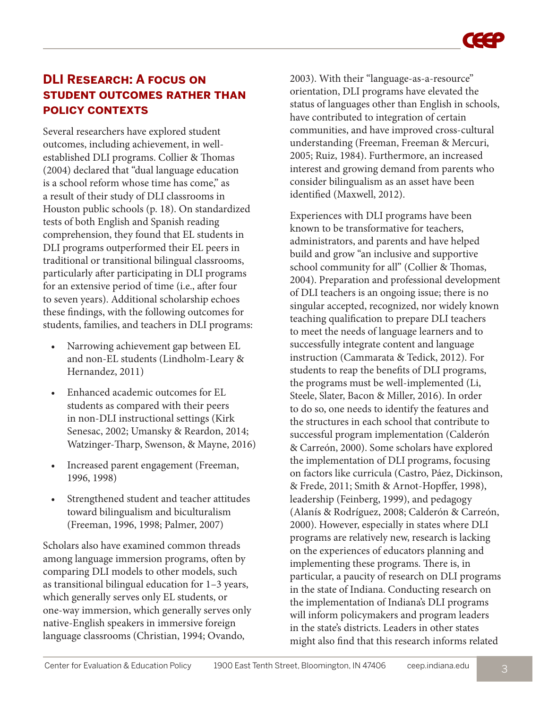## **DLI Research: A focus on student outcomes rather than policy contexts**

Several researchers have explored student outcomes, including achievement, in wellestablished DLI programs. Collier & Thomas (2004) declared that "dual language education is a school reform whose time has come," as a result of their study of DLI classrooms in Houston public schools (p. 18). On standardized tests of both English and Spanish reading comprehension, they found that EL students in DLI programs outperformed their EL peers in traditional or transitional bilingual classrooms, particularly after participating in DLI programs for an extensive period of time (i.e., after four to seven years). Additional scholarship echoes these findings, with the following outcomes for students, families, and teachers in DLI programs:

- Narrowing achievement gap between EL and non-EL students (Lindholm-Leary & Hernandez, 2011)
- Enhanced academic outcomes for EL students as compared with their peers in non-DLI instructional settings (Kirk Senesac, 2002; Umansky & Reardon, 2014; Watzinger-Tharp, Swenson, & Mayne, 2016)
- Increased parent engagement (Freeman, 1996, 1998)
- Strengthened student and teacher attitudes toward bilingualism and biculturalism (Freeman, 1996, 1998; Palmer, 2007)

Scholars also have examined common threads among language immersion programs, often by comparing DLI models to other models, such as transitional bilingual education for 1–3 years, which generally serves only EL students, or one-way immersion, which generally serves only native-English speakers in immersive foreign language classrooms (Christian, 1994; Ovando,

2003). With their "language-as-a-resource" orientation, DLI programs have elevated the status of languages other than English in schools, have contributed to integration of certain communities, and have improved cross-cultural understanding (Freeman, Freeman & Mercuri, 2005; Ruiz, 1984). Furthermore, an increased interest and growing demand from parents who consider bilingualism as an asset have been identified (Maxwell, 2012).

Experiences with DLI programs have been known to be transformative for teachers, administrators, and parents and have helped build and grow "an inclusive and supportive school community for all" (Collier & Thomas, 2004). Preparation and professional development of DLI teachers is an ongoing issue; there is no singular accepted, recognized, nor widely known teaching qualification to prepare DLI teachers to meet the needs of language learners and to successfully integrate content and language instruction (Cammarata & Tedick, 2012). For students to reap the benefits of DLI programs, the programs must be well-implemented (Li, Steele, Slater, Bacon & Miller, 2016). In order to do so, one needs to identify the features and the structures in each school that contribute to successful program implementation (Calderón & Carreón, 2000). Some scholars have explored the implementation of DLI programs, focusing on factors like curricula (Castro, Páez, Dickinson, & Frede, 2011; Smith & Arnot-Hopffer, 1998), leadership (Feinberg, 1999), and pedagogy (Alanís & Rodríguez, 2008; Calderón & Carreón, 2000). However, especially in states where DLI programs are relatively new, research is lacking on the experiences of educators planning and implementing these programs. There is, in particular, a paucity of research on DLI programs in the state of Indiana. Conducting research on the implementation of Indiana's DLI programs will inform policymakers and program leaders in the state's districts. Leaders in other states might also find that this research informs related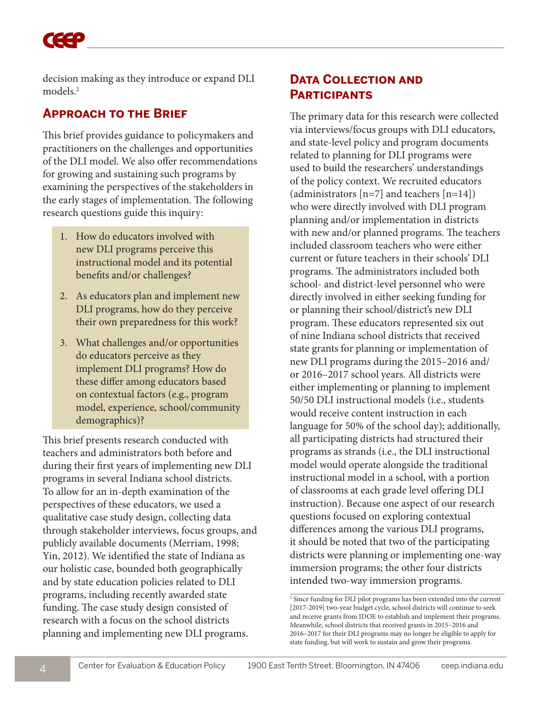decision making as they introduce or expand DLI models.2

### **Approach to the Brief**

This brief provides guidance to policymakers and practitioners on the challenges and opportunities of the DLI model. We also offer recommendations for growing and sustaining such programs by examining the perspectives of the stakeholders in the early stages of implementation. The following research questions guide this inquiry:

- 1. How do educators involved with new DLI programs perceive this instructional model and its potential benefits and/or challenges?
- 2. As educators plan and implement new DLI programs, how do they perceive their own preparedness for this work?
- 3. What challenges and/or opportunities do educators perceive as they implement DLI programs? How do these differ among educators based on contextual factors (e.g., program model, experience, school/community demographics)?

This brief presents research conducted with teachers and administrators both before and during their first years of implementing new DLI programs in several Indiana school districts. To allow for an in-depth examination of the perspectives of these educators, we used a qualitative case study design, collecting data through stakeholder interviews, focus groups, and publicly available documents (Merriam, 1998; Yin, 2012). We identified the state of Indiana as our holistic case, bounded both geographically and by state education policies related to DLI programs, including recently awarded state funding. The case study design consisted of research with a focus on the school districts planning and implementing new DLI programs.

### **DATA COLLECTION AND Participants**

The primary data for this research were collected via interviews/focus groups with DLI educators, and state-level policy and program documents related to planning for DLI programs were used to build the researchers' understandings of the policy context. We recruited educators (administrators  $[n=7]$  and teachers  $[n=14]$ ) who were directly involved with DLI program planning and/or implementation in districts with new and/or planned programs. The teachers included classroom teachers who were either current or future teachers in their schools' DLI programs. The administrators included both school- and district-level personnel who were directly involved in either seeking funding for or planning their school/district's new DLI program. These educators represented six out of nine Indiana school districts that received state grants for planning or implementation of new DLI programs during the 2015–2016 and/ or 2016–2017 school years. All districts were either implementing or planning to implement 50/50 DLI instructional models (i.e., students would receive content instruction in each language for 50% of the school day); additionally, all participating districts had structured their programs as strands (i.e., the DLI instructional model would operate alongside the traditional instructional model in a school, with a portion of classrooms at each grade level offering DLI instruction). Because one aspect of our research questions focused on exploring contextual differences among the various DLI programs, it should be noted that two of the participating districts were planning or implementing one-way immersion programs; the other four districts intended two-way immersion programs.

<sup>2</sup> Since funding for DLI pilot programs has been extended into the current [2017-2019] two-year budget cycle, school districts will continue to seek and receive grants from IDOE to establish and implement their programs. Meanwhile, school districts that received grants in 2015–2016 and 2016–2017 for their DLI programs may no longer be eligible to apply for state funding, but will work to sustain and grow their programs.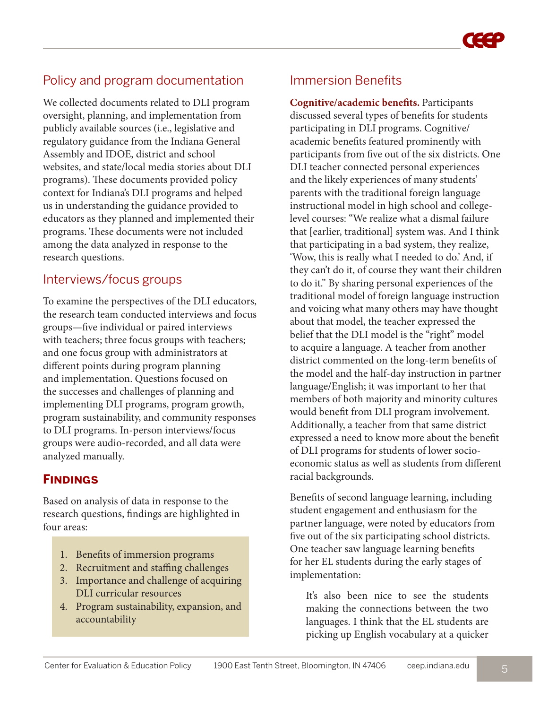# Policy and program documentation

We collected documents related to DLI program oversight, planning, and implementation from publicly available sources (i.e., legislative and regulatory guidance from the Indiana General Assembly and IDOE, district and school websites, and state/local media stories about DLI programs). These documents provided policy context for Indiana's DLI programs and helped us in understanding the guidance provided to educators as they planned and implemented their programs. These documents were not included among the data analyzed in response to the research questions.

## Interviews/focus groups

To examine the perspectives of the DLI educators, the research team conducted interviews and focus groups—five individual or paired interviews with teachers; three focus groups with teachers; and one focus group with administrators at different points during program planning and implementation. Questions focused on the successes and challenges of planning and implementing DLI programs, program growth, program sustainability, and community responses to DLI programs. In-person interviews/focus groups were audio-recorded, and all data were analyzed manually.

# **Findings**

Based on analysis of data in response to the research questions, findings are highlighted in four areas:

- 1. Benefits of immersion programs
- 2. Recruitment and staffing challenges
- 3. Importance and challenge of acquiring DLI curricular resources
- 4. Program sustainability, expansion, and accountability

# Immersion Benefits

**Cognitive/academic benefits.** Participants discussed several types of benefits for students participating in DLI programs. Cognitive/ academic benefits featured prominently with participants from five out of the six districts. One DLI teacher connected personal experiences and the likely experiences of many students' parents with the traditional foreign language instructional model in high school and collegelevel courses: "We realize what a dismal failure that [earlier, traditional] system was. And I think that participating in a bad system, they realize, 'Wow, this is really what I needed to do.' And, if they can't do it, of course they want their children to do it." By sharing personal experiences of the traditional model of foreign language instruction and voicing what many others may have thought about that model, the teacher expressed the belief that the DLI model is the "right" model to acquire a language. A teacher from another district commented on the long-term benefits of the model and the half-day instruction in partner language/English; it was important to her that members of both majority and minority cultures would benefit from DLI program involvement. Additionally, a teacher from that same district expressed a need to know more about the benefit of DLI programs for students of lower socioeconomic status as well as students from different racial backgrounds.

Benefits of second language learning, including student engagement and enthusiasm for the partner language, were noted by educators from five out of the six participating school districts. One teacher saw language learning benefits for her EL students during the early stages of implementation:

It's also been nice to see the students making the connections between the two languages. I think that the EL students are picking up English vocabulary at a quicker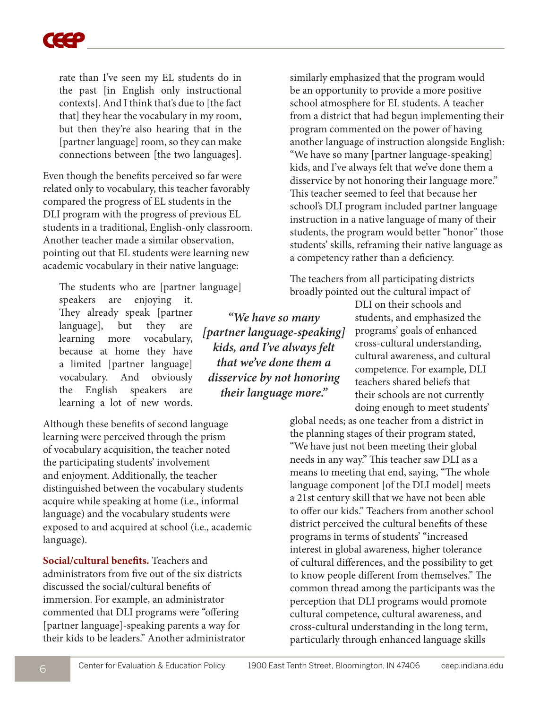rate than I've seen my EL students do in the past [in English only instructional contexts]. And I think that's due to [the fact that] they hear the vocabulary in my room, but then they're also hearing that in the [partner language] room, so they can make connections between [the two languages].

Even though the benefits perceived so far were related only to vocabulary, this teacher favorably compared the progress of EL students in the DLI program with the progress of previous EL students in a traditional, English-only classroom. Another teacher made a similar observation, pointing out that EL students were learning new academic vocabulary in their native language:

The students who are [partner language] speakers are enjoying it. They already speak [partner language], but they are learning more vocabulary, because at home they have a limited [partner language] vocabulary. And obviously the English speakers are learning a lot of new words.

Although these benefits of second language learning were perceived through the prism of vocabulary acquisition, the teacher noted the participating students' involvement and enjoyment. Additionally, the teacher distinguished between the vocabulary students acquire while speaking at home (i.e., informal language) and the vocabulary students were exposed to and acquired at school (i.e., academic language).

**Social/cultural benefits.** Teachers and administrators from five out of the six districts discussed the social/cultural benefits of immersion. For example, an administrator commented that DLI programs were "offering [partner language]-speaking parents a way for their kids to be leaders." Another administrator similarly emphasized that the program would be an opportunity to provide a more positive school atmosphere for EL students. A teacher from a district that had begun implementing their program commented on the power of having another language of instruction alongside English: "We have so many [partner language-speaking] kids, and I've always felt that we've done them a disservice by not honoring their language more." This teacher seemed to feel that because her school's DLI program included partner language instruction in a native language of many of their students, the program would better "honor" those students' skills, reframing their native language as a competency rather than a deficiency.

The teachers from all participating districts broadly pointed out the cultural impact of

DLI on their schools and *"We have so many [partner language-speaking] kids, and I've always felt that we've done them a disservice by not honoring their language more."*

students, and emphasized the programs' goals of enhanced cross-cultural understanding, cultural awareness, and cultural competence. For example, DLI teachers shared beliefs that their schools are not currently doing enough to meet students'

global needs; as one teacher from a district in the planning stages of their program stated, "We have just not been meeting their global needs in any way." This teacher saw DLI as a means to meeting that end, saying, "The whole language component [of the DLI model] meets a 21st century skill that we have not been able to offer our kids." Teachers from another school district perceived the cultural benefits of these programs in terms of students' "increased interest in global awareness, higher tolerance of cultural differences, and the possibility to get to know people different from themselves." The common thread among the participants was the perception that DLI programs would promote cultural competence, cultural awareness, and cross-cultural understanding in the long term, particularly through enhanced language skills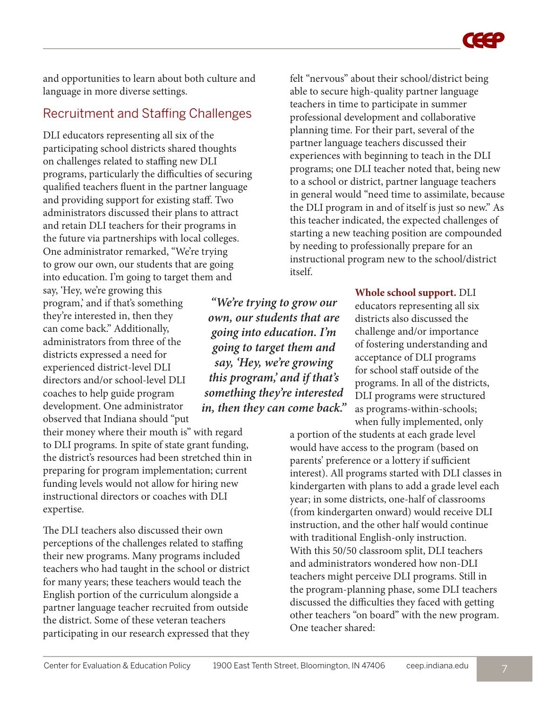and opportunities to learn about both culture and language in more diverse settings.

# Recruitment and Staffing Challenges

DLI educators representing all six of the participating school districts shared thoughts on challenges related to staffing new DLI programs, particularly the difficulties of securing qualified teachers fluent in the partner language and providing support for existing staff. Two administrators discussed their plans to attract and retain DLI teachers for their programs in the future via partnerships with local colleges. One administrator remarked, "We're trying to grow our own, our students that are going into education. I'm going to target them and

say, 'Hey, we're growing this program,' and if that's something they're interested in, then they can come back." Additionally, administrators from three of the districts expressed a need for experienced district-level DLI directors and/or school-level DLI coaches to help guide program development. One administrator observed that Indiana should "put

their money where their mouth is" with regard to DLI programs. In spite of state grant funding, the district's resources had been stretched thin in preparing for program implementation; current funding levels would not allow for hiring new instructional directors or coaches with DLI expertise.

The DLI teachers also discussed their own perceptions of the challenges related to staffing their new programs. Many programs included teachers who had taught in the school or district for many years; these teachers would teach the English portion of the curriculum alongside a partner language teacher recruited from outside the district. Some of these veteran teachers participating in our research expressed that they

*"We're trying to grow our own, our students that are going into education. I'm going to target them and say, 'Hey, we're growing this program,' and if that's something they're interested in, then they can come back."*

felt "nervous" about their school/district being able to secure high-quality partner language teachers in time to participate in summer professional development and collaborative planning time. For their part, several of the partner language teachers discussed their experiences with beginning to teach in the DLI programs; one DLI teacher noted that, being new to a school or district, partner language teachers in general would "need time to assimilate, because the DLI program in and of itself is just so new." As this teacher indicated, the expected challenges of starting a new teaching position are compounded by needing to professionally prepare for an instructional program new to the school/district itself.

> **Whole school support.** DLI educators representing all six districts also discussed the challenge and/or importance of fostering understanding and acceptance of DLI programs for school staff outside of the programs. In all of the districts, DLI programs were structured as programs-within-schools; when fully implemented, only

a portion of the students at each grade level would have access to the program (based on parents' preference or a lottery if sufficient interest). All programs started with DLI classes in kindergarten with plans to add a grade level each year; in some districts, one-half of classrooms (from kindergarten onward) would receive DLI instruction, and the other half would continue with traditional English-only instruction. With this 50/50 classroom split, DLI teachers and administrators wondered how non-DLI teachers might perceive DLI programs. Still in the program-planning phase, some DLI teachers discussed the difficulties they faced with getting other teachers "on board" with the new program. One teacher shared: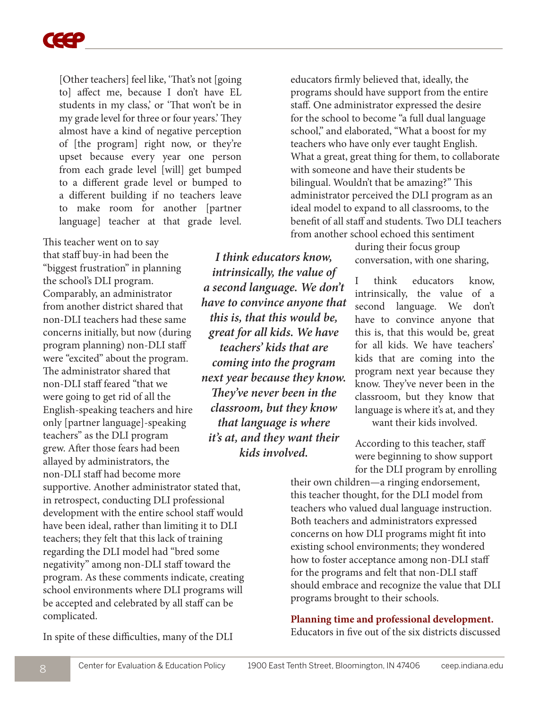

[Other teachers] feel like, 'That's not [going to] affect me, because I don't have EL students in my class,' or 'That won't be in my grade level for three or four years.' They almost have a kind of negative perception of [the program] right now, or they're upset because every year one person from each grade level [will] get bumped to a different grade level or bumped to a different building if no teachers leave to make room for another [partner language] teacher at that grade level.

This teacher went on to say that staff buy-in had been the "biggest frustration" in planning the school's DLI program. Comparably, an administrator from another district shared that non-DLI teachers had these same concerns initially, but now (during program planning) non-DLI staff were "excited" about the program. The administrator shared that non-DLI staff feared "that we were going to get rid of all the English-speaking teachers and hire only [partner language]-speaking teachers" as the DLI program grew. After those fears had been allayed by administrators, the non-DLI staff had become more supportive. Another administrator stated that, in retrospect, conducting DLI professional development with the entire school staff would have been ideal, rather than limiting it to DLI teachers; they felt that this lack of training regarding the DLI model had "bred some negativity" among non-DLI staff toward the program. As these comments indicate, creating school environments where DLI programs will be accepted and celebrated by all staff can be

*I think educators know, intrinsically, the value of a second language. We don't have to convince anyone that this is, that this would be, great for all kids. We have teachers' kids that are coming into the program next year because they know. They've never been in the classroom, but they know that language is where it's at, and they want their kids involved.* 

educators firmly believed that, ideally, the programs should have support from the entire staff. One administrator expressed the desire for the school to become "a full dual language school," and elaborated, "What a boost for my teachers who have only ever taught English. What a great, great thing for them, to collaborate with someone and have their students be bilingual. Wouldn't that be amazing?" This administrator perceived the DLI program as an ideal model to expand to all classrooms, to the benefit of all staff and students. Two DLI teachers from another school echoed this sentiment

> during their focus group conversation, with one sharing,

I think educators know, intrinsically, the value of a second language. We don't have to convince anyone that this is, that this would be, great for all kids. We have teachers' kids that are coming into the program next year because they know. They've never been in the classroom, but they know that language is where it's at, and they

want their kids involved.

According to this teacher, staff were beginning to show support for the DLI program by enrolling

their own children—a ringing endorsement, this teacher thought, for the DLI model from teachers who valued dual language instruction. Both teachers and administrators expressed concerns on how DLI programs might fit into existing school environments; they wondered how to foster acceptance among non-DLI staff for the programs and felt that non-DLI staff should embrace and recognize the value that DLI programs brought to their schools.

# **Planning time and professional development.**

Educators in five out of the six districts discussed

In spite of these difficulties, many of the DLI

complicated.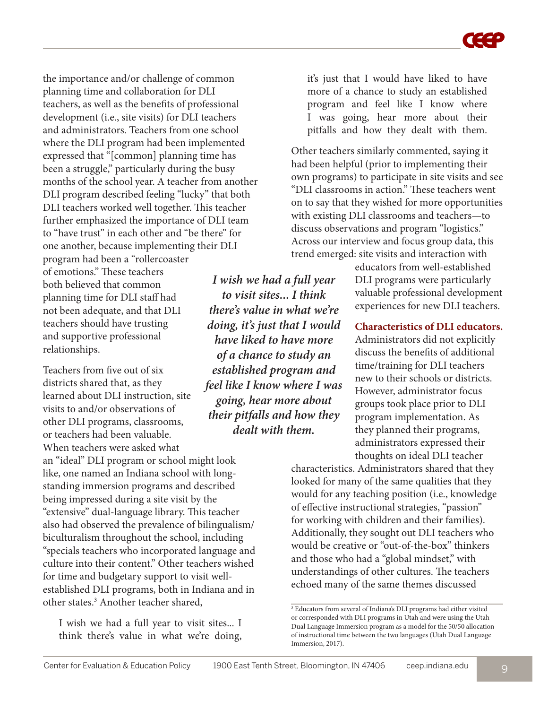the importance and/or challenge of common planning time and collaboration for DLI teachers, as well as the benefits of professional development (i.e., site visits) for DLI teachers and administrators. Teachers from one school where the DLI program had been implemented expressed that "[common] planning time has been a struggle," particularly during the busy months of the school year. A teacher from another DLI program described feeling "lucky" that both DLI teachers worked well together. This teacher further emphasized the importance of DLI team to "have trust" in each other and "be there" for one another, because implementing their DLI program had been a "rollercoaster

of emotions." These teachers both believed that common planning time for DLI staff had not been adequate, and that DLI teachers should have trusting and supportive professional relationships.

Teachers from five out of six districts shared that, as they learned about DLI instruction, site visits to and/or observations of other DLI programs, classrooms, or teachers had been valuable.

When teachers were asked what an "ideal" DLI program or school might look like, one named an Indiana school with longstanding immersion programs and described being impressed during a site visit by the "extensive" dual-language library. This teacher also had observed the prevalence of bilingualism/ biculturalism throughout the school, including "specials teachers who incorporated language and culture into their content." Other teachers wished for time and budgetary support to visit wellestablished DLI programs, both in Indiana and in other states.3 Another teacher shared,

I wish we had a full year to visit sites... I think there's value in what we're doing,

*I wish we had a full year to visit sites... I think there's value in what we're doing, it's just that I would have liked to have more of a chance to study an established program and feel like I know where I was going, hear more about their pitfalls and how they dealt with them.*

it's just that I would have liked to have more of a chance to study an established program and feel like I know where I was going, hear more about their pitfalls and how they dealt with them.

Other teachers similarly commented, saying it had been helpful (prior to implementing their own programs) to participate in site visits and see "DLI classrooms in action." These teachers went on to say that they wished for more opportunities with existing DLI classrooms and teachers—to discuss observations and program "logistics." Across our interview and focus group data, this trend emerged: site visits and interaction with

> educators from well-established DLI programs were particularly valuable professional development experiences for new DLI teachers.

> **Characteristics of DLI educators.**

Administrators did not explicitly discuss the benefits of additional time/training for DLI teachers new to their schools or districts. However, administrator focus groups took place prior to DLI program implementation. As they planned their programs, administrators expressed their thoughts on ideal DLI teacher

characteristics. Administrators shared that they looked for many of the same qualities that they would for any teaching position (i.e., knowledge of effective instructional strategies, "passion" for working with children and their families). Additionally, they sought out DLI teachers who would be creative or "out-of-the-box" thinkers and those who had a "global mindset," with understandings of other cultures. The teachers echoed many of the same themes discussed

<sup>3</sup> Educators from several of Indiana's DLI programs had either visited or corresponded with DLI programs in Utah and were using the Utah Dual Language Immersion program as a model for the 50/50 allocation of instructional time between the two languages (Utah Dual Language Immersion, 2017).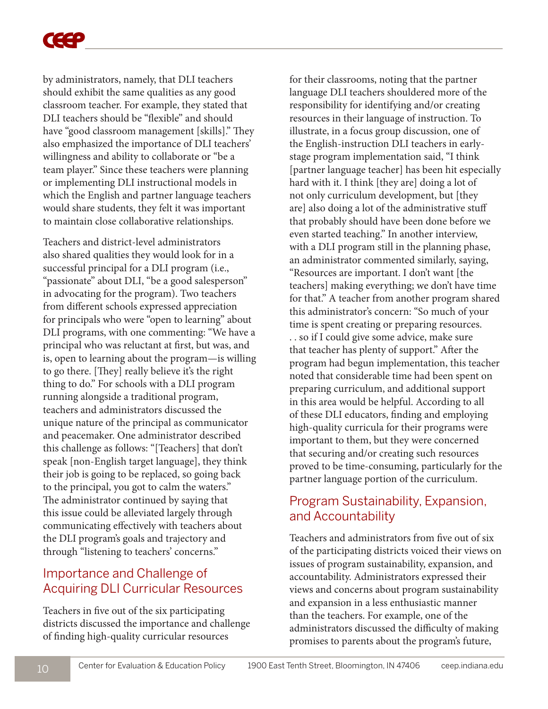by administrators, namely, that DLI teachers should exhibit the same qualities as any good classroom teacher. For example, they stated that DLI teachers should be "flexible" and should have "good classroom management [skills]." They also emphasized the importance of DLI teachers' willingness and ability to collaborate or "be a team player." Since these teachers were planning or implementing DLI instructional models in which the English and partner language teachers would share students, they felt it was important to maintain close collaborative relationships.

Teachers and district-level administrators also shared qualities they would look for in a successful principal for a DLI program (i.e., "passionate" about DLI, "be a good salesperson" in advocating for the program). Two teachers from different schools expressed appreciation for principals who were "open to learning" about DLI programs, with one commenting: "We have a principal who was reluctant at first, but was, and is, open to learning about the program—is willing to go there. [They] really believe it's the right thing to do." For schools with a DLI program running alongside a traditional program, teachers and administrators discussed the unique nature of the principal as communicator and peacemaker. One administrator described this challenge as follows: "[Teachers] that don't speak [non-English target language], they think their job is going to be replaced, so going back to the principal, you got to calm the waters." The administrator continued by saying that this issue could be alleviated largely through communicating effectively with teachers about the DLI program's goals and trajectory and through "listening to teachers' concerns."

# Importance and Challenge of Acquiring DLI Curricular Resources

Teachers in five out of the six participating districts discussed the importance and challenge of finding high-quality curricular resources

for their classrooms, noting that the partner language DLI teachers shouldered more of the responsibility for identifying and/or creating resources in their language of instruction. To illustrate, in a focus group discussion, one of the English-instruction DLI teachers in earlystage program implementation said, "I think [partner language teacher] has been hit especially hard with it. I think [they are] doing a lot of not only curriculum development, but [they are] also doing a lot of the administrative stuff that probably should have been done before we even started teaching." In another interview, with a DLI program still in the planning phase, an administrator commented similarly, saying, "Resources are important. I don't want [the teachers] making everything; we don't have time for that." A teacher from another program shared this administrator's concern: "So much of your time is spent creating or preparing resources. . . so if I could give some advice, make sure that teacher has plenty of support." After the program had begun implementation, this teacher noted that considerable time had been spent on preparing curriculum, and additional support in this area would be helpful. According to all of these DLI educators, finding and employing high-quality curricula for their programs were important to them, but they were concerned that securing and/or creating such resources proved to be time-consuming, particularly for the partner language portion of the curriculum.

## Program Sustainability, Expansion, and Accountability

Teachers and administrators from five out of six of the participating districts voiced their views on issues of program sustainability, expansion, and accountability. Administrators expressed their views and concerns about program sustainability and expansion in a less enthusiastic manner than the teachers. For example, one of the administrators discussed the difficulty of making promises to parents about the program's future,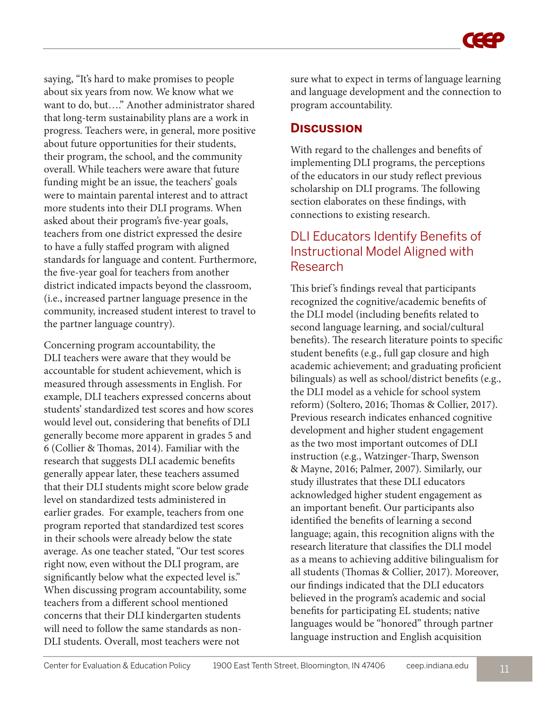saying, "It's hard to make promises to people about six years from now. We know what we want to do, but…." Another administrator shared that long-term sustainability plans are a work in progress. Teachers were, in general, more positive about future opportunities for their students, their program, the school, and the community overall. While teachers were aware that future funding might be an issue, the teachers' goals were to maintain parental interest and to attract more students into their DLI programs. When asked about their program's five-year goals, teachers from one district expressed the desire to have a fully staffed program with aligned standards for language and content. Furthermore, the five-year goal for teachers from another district indicated impacts beyond the classroom, (i.e., increased partner language presence in the community, increased student interest to travel to the partner language country).

Concerning program accountability, the DLI teachers were aware that they would be accountable for student achievement, which is measured through assessments in English. For example, DLI teachers expressed concerns about students' standardized test scores and how scores would level out, considering that benefits of DLI generally become more apparent in grades 5 and 6 (Collier & Thomas, 2014). Familiar with the research that suggests DLI academic benefits generally appear later, these teachers assumed that their DLI students might score below grade level on standardized tests administered in earlier grades. For example, teachers from one program reported that standardized test scores in their schools were already below the state average. As one teacher stated, "Our test scores right now, even without the DLI program, are significantly below what the expected level is." When discussing program accountability, some teachers from a different school mentioned concerns that their DLI kindergarten students will need to follow the same standards as non-DLI students. Overall, most teachers were not

sure what to expect in terms of language learning and language development and the connection to program accountability.

#### **Discussion**

With regard to the challenges and benefits of implementing DLI programs, the perceptions of the educators in our study reflect previous scholarship on DLI programs. The following section elaborates on these findings, with connections to existing research.

### DLI Educators Identify Benefits of Instructional Model Aligned with Research

This brief 's findings reveal that participants recognized the cognitive/academic benefits of the DLI model (including benefits related to second language learning, and social/cultural benefits). The research literature points to specific student benefits (e.g., full gap closure and high academic achievement; and graduating proficient bilinguals) as well as school/district benefits (e.g., the DLI model as a vehicle for school system reform) (Soltero, 2016; Thomas & Collier, 2017). Previous research indicates enhanced cognitive development and higher student engagement as the two most important outcomes of DLI instruction (e.g., Watzinger-Tharp, Swenson & Mayne, 2016; Palmer, 2007). Similarly, our study illustrates that these DLI educators acknowledged higher student engagement as an important benefit. Our participants also identified the benefits of learning a second language; again, this recognition aligns with the research literature that classifies the DLI model as a means to achieving additive bilingualism for all students (Thomas & Collier, 2017). Moreover, our findings indicated that the DLI educators believed in the program's academic and social benefits for participating EL students; native languages would be "honored" through partner language instruction and English acquisition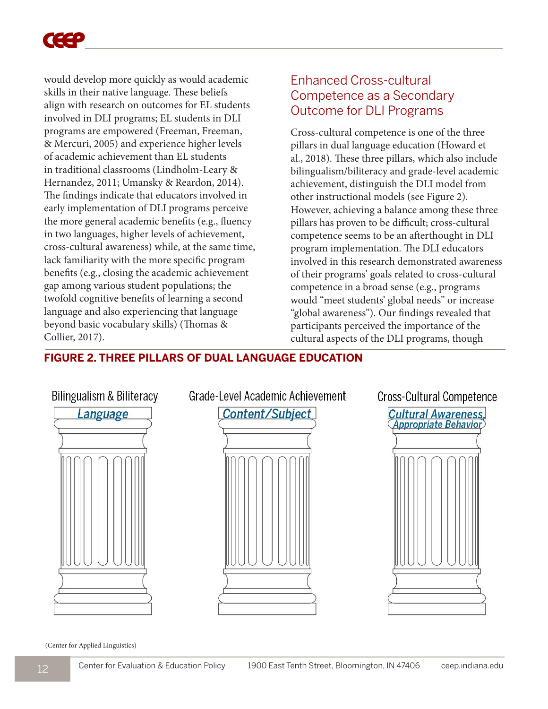

would develop more quickly as would academic skills in their native language. These beliefs align with research on outcomes for EL students involved in DLI programs; EL students in DLI programs are empowered (Freeman, Freeman, & Mercuri, 2005) and experience higher levels of academic achievement than EL students in traditional classrooms (Lindholm-Leary & Hernandez, 2011; Umansky & Reardon, 2014). The findings indicate that educators involved in early implementation of DLI programs perceive the more general academic benefits (e.g., fluency in two languages, higher levels of achievement, cross-cultural awareness) while, at the same time, lack familiarity with the more specific program benefits (e.g., closing the academic achievement gap among various student populations; the twofold cognitive benefits of learning a second language and also experiencing that language beyond basic vocabulary skills) (Thomas & Collier, 2017).

## Enhanced Cross-cultural Competence as a Secondary Outcome for DLI Programs

Cross-cultural competence is one of the three pillars in dual language education (Howard et al., 2018). These three pillars, which also include bilingualism/biliteracy and grade-level academic achievement, distinguish the DLI model from other instructional models (see Figure 2). However, achieving a balance among these three pillars has proven to be difficult; cross-cultural competence seems to be an afterthought in DLI program implementation. The DLI educators involved in this research demonstrated awareness of their programs' goals related to cross-cultural competence in a broad sense (e.g., programs would "meet students' global needs" or increase "global awareness"). Our findings revealed that participants perceived the importance of the cultural aspects of the DLI programs, though

#### **FIGURE 2. THREE PILLARS OF DUAL LANGUAGE EDUCATION**



(Center for Applied Linguistics)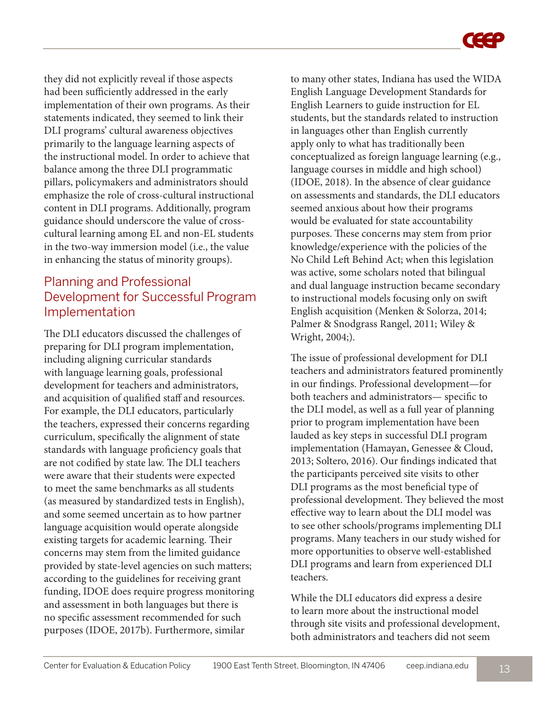they did not explicitly reveal if those aspects had been sufficiently addressed in the early implementation of their own programs. As their statements indicated, they seemed to link their DLI programs' cultural awareness objectives primarily to the language learning aspects of the instructional model. In order to achieve that balance among the three DLI programmatic pillars, policymakers and administrators should emphasize the role of cross-cultural instructional content in DLI programs. Additionally, program guidance should underscore the value of crosscultural learning among EL and non-EL students in the two-way immersion model (i.e., the value in enhancing the status of minority groups).

# Planning and Professional Development for Successful Program Implementation

The DLI educators discussed the challenges of preparing for DLI program implementation, including aligning curricular standards with language learning goals, professional development for teachers and administrators, and acquisition of qualified staff and resources. For example, the DLI educators, particularly the teachers, expressed their concerns regarding curriculum, specifically the alignment of state standards with language proficiency goals that are not codified by state law. The DLI teachers were aware that their students were expected to meet the same benchmarks as all students (as measured by standardized tests in English), and some seemed uncertain as to how partner language acquisition would operate alongside existing targets for academic learning. Their concerns may stem from the limited guidance provided by state-level agencies on such matters; according to the guidelines for receiving grant funding, IDOE does require progress monitoring and assessment in both languages but there is no specific assessment recommended for such purposes (IDOE, 2017b). Furthermore, similar

to many other states, Indiana has used the WIDA English Language Development Standards for English Learners to guide instruction for EL students, but the standards related to instruction in languages other than English currently apply only to what has traditionally been conceptualized as foreign language learning (e.g., language courses in middle and high school) (IDOE, 2018). In the absence of clear guidance on assessments and standards, the DLI educators seemed anxious about how their programs would be evaluated for state accountability purposes. These concerns may stem from prior knowledge/experience with the policies of the No Child Left Behind Act; when this legislation was active, some scholars noted that bilingual and dual language instruction became secondary to instructional models focusing only on swift English acquisition (Menken & Solorza, 2014; Palmer & Snodgrass Rangel, 2011; Wiley & Wright, 2004;).

The issue of professional development for DLI teachers and administrators featured prominently in our findings. Professional development—for both teachers and administrators— specific to the DLI model, as well as a full year of planning prior to program implementation have been lauded as key steps in successful DLI program implementation (Hamayan, Genessee & Cloud, 2013; Soltero, 2016). Our findings indicated that the participants perceived site visits to other DLI programs as the most beneficial type of professional development. They believed the most effective way to learn about the DLI model was to see other schools/programs implementing DLI programs. Many teachers in our study wished for more opportunities to observe well-established DLI programs and learn from experienced DLI teachers.

While the DLI educators did express a desire to learn more about the instructional model through site visits and professional development, both administrators and teachers did not seem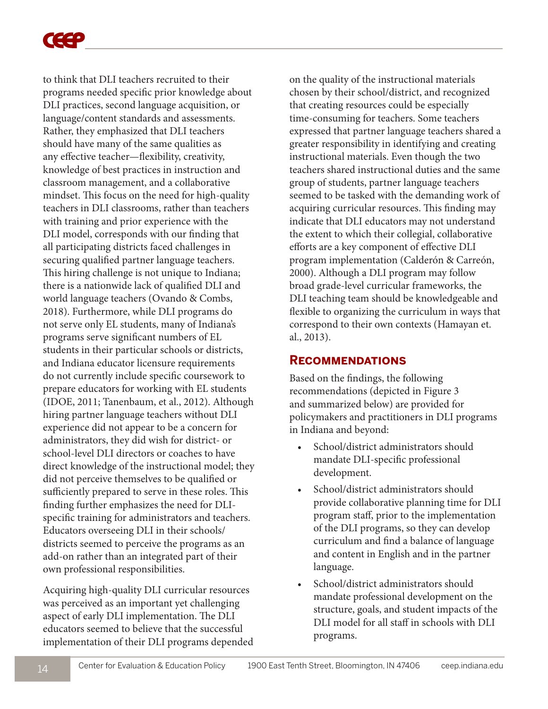

to think that DLI teachers recruited to their programs needed specific prior knowledge about DLI practices, second language acquisition, or language/content standards and assessments. Rather, they emphasized that DLI teachers should have many of the same qualities as any effective teacher—flexibility, creativity, knowledge of best practices in instruction and classroom management, and a collaborative mindset. This focus on the need for high-quality teachers in DLI classrooms, rather than teachers with training and prior experience with the DLI model, corresponds with our finding that all participating districts faced challenges in securing qualified partner language teachers. This hiring challenge is not unique to Indiana; there is a nationwide lack of qualified DLI and world language teachers (Ovando & Combs, 2018). Furthermore, while DLI programs do not serve only EL students, many of Indiana's programs serve significant numbers of EL students in their particular schools or districts, and Indiana educator licensure requirements do not currently include specific coursework to prepare educators for working with EL students (IDOE, 2011; Tanenbaum, et al., 2012). Although hiring partner language teachers without DLI experience did not appear to be a concern for administrators, they did wish for district- or school-level DLI directors or coaches to have direct knowledge of the instructional model; they did not perceive themselves to be qualified or sufficiently prepared to serve in these roles. This finding further emphasizes the need for DLIspecific training for administrators and teachers. Educators overseeing DLI in their schools/ districts seemed to perceive the programs as an add-on rather than an integrated part of their own professional responsibilities.

Acquiring high-quality DLI curricular resources was perceived as an important yet challenging aspect of early DLI implementation. The DLI educators seemed to believe that the successful implementation of their DLI programs depended on the quality of the instructional materials chosen by their school/district, and recognized that creating resources could be especially time-consuming for teachers. Some teachers expressed that partner language teachers shared a greater responsibility in identifying and creating instructional materials. Even though the two teachers shared instructional duties and the same group of students, partner language teachers seemed to be tasked with the demanding work of acquiring curricular resources. This finding may indicate that DLI educators may not understand the extent to which their collegial, collaborative efforts are a key component of effective DLI program implementation (Calderón & Carreón, 2000). Although a DLI program may follow broad grade-level curricular frameworks, the DLI teaching team should be knowledgeable and flexible to organizing the curriculum in ways that correspond to their own contexts (Hamayan et. al., 2013).

#### **Recommendations**

Based on the findings, the following recommendations (depicted in Figure 3 and summarized below) are provided for policymakers and practitioners in DLI programs in Indiana and beyond:

- School/district administrators should mandate DLI-specific professional development.
- School/district administrators should provide collaborative planning time for DLI program staff, prior to the implementation of the DLI programs, so they can develop curriculum and find a balance of language and content in English and in the partner language.
- School/district administrators should mandate professional development on the structure, goals, and student impacts of the DLI model for all staff in schools with DLI programs.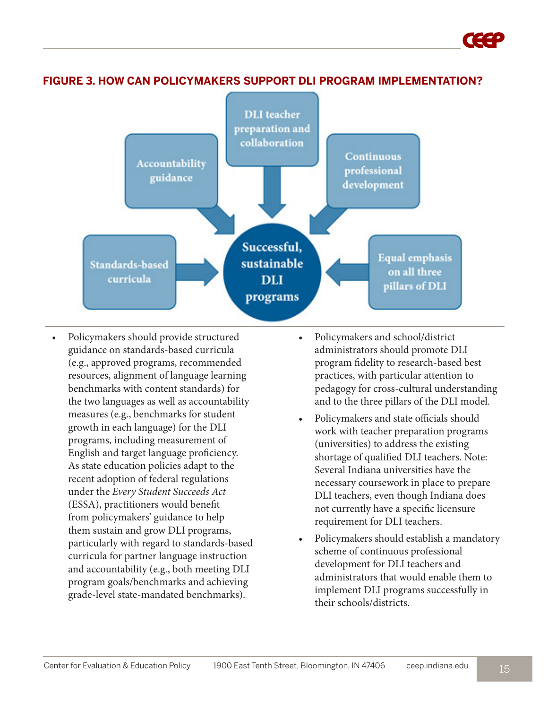

**FIGURE 3. HOW CAN POLICYMAKERS SUPPORT DLI PROGRAM IMPLEMENTATION?**

- Policymakers should provide structured guidance on standards-based curricula (e.g., approved programs, recommended resources, alignment of language learning benchmarks with content standards) for the two languages as well as accountability measures (e.g., benchmarks for student growth in each language) for the DLI programs, including measurement of English and target language proficiency. As state education policies adapt to the recent adoption of federal regulations under the *Every Student Succeeds Act* (ESSA), practitioners would benefit from policymakers' guidance to help them sustain and grow DLI programs, particularly with regard to standards-based curricula for partner language instruction and accountability (e.g., both meeting DLI program goals/benchmarks and achieving grade-level state-mandated benchmarks).
- Policymakers and school/district administrators should promote DLI program fidelity to research-based best practices, with particular attention to pedagogy for cross-cultural understanding and to the three pillars of the DLI model.
- Policymakers and state officials should work with teacher preparation programs (universities) to address the existing shortage of qualified DLI teachers. Note: Several Indiana universities have the necessary coursework in place to prepare DLI teachers, even though Indiana does not currently have a specific licensure requirement for DLI teachers.
- Policymakers should establish a mandatory scheme of continuous professional development for DLI teachers and administrators that would enable them to implement DLI programs successfully in their schools/districts.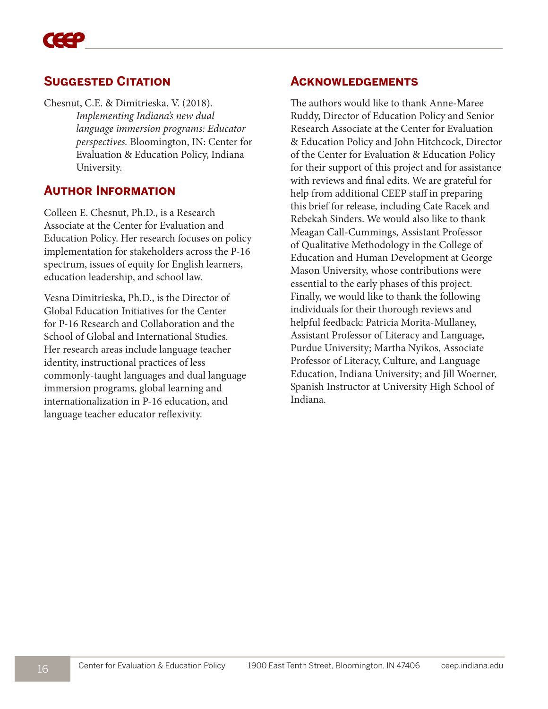### **Suggested Citation**

Chesnut, C.E. & Dimitrieska, V. (2018). *Implementing Indiana's new dual language immersion programs: Educator perspectives.* Bloomington, IN: Center for Evaluation & Education Policy, Indiana University.

#### **Author Information**

Colleen E. Chesnut, Ph.D., is a Research Associate at the Center for Evaluation and Education Policy. Her research focuses on policy implementation for stakeholders across the P-16 spectrum, issues of equity for English learners, education leadership, and school law.

Vesna Dimitrieska, Ph.D., is the Director of Global Education Initiatives for the Center for P-16 Research and Collaboration and the School of Global and International Studies. Her research areas include language teacher identity, instructional practices of less commonly-taught languages and dual language immersion programs, global learning and internationalization in P-16 education, and language teacher educator reflexivity.

#### **Acknowledgements**

The authors would like to thank Anne-Maree Ruddy, Director of Education Policy and Senior Research Associate at the Center for Evaluation & Education Policy and John Hitchcock, Director of the Center for Evaluation & Education Policy for their support of this project and for assistance with reviews and final edits. We are grateful for help from additional CEEP staff in preparing this brief for release, including Cate Racek and Rebekah Sinders. We would also like to thank Meagan Call-Cummings, Assistant Professor of Qualitative Methodology in the College of Education and Human Development at George Mason University, whose contributions were essential to the early phases of this project. Finally, we would like to thank the following individuals for their thorough reviews and helpful feedback: Patricia Morita-Mullaney, Assistant Professor of Literacy and Language, Purdue University; Martha Nyikos, Associate Professor of Literacy, Culture, and Language Education, Indiana University; and Jill Woerner, Spanish Instructor at University High School of Indiana.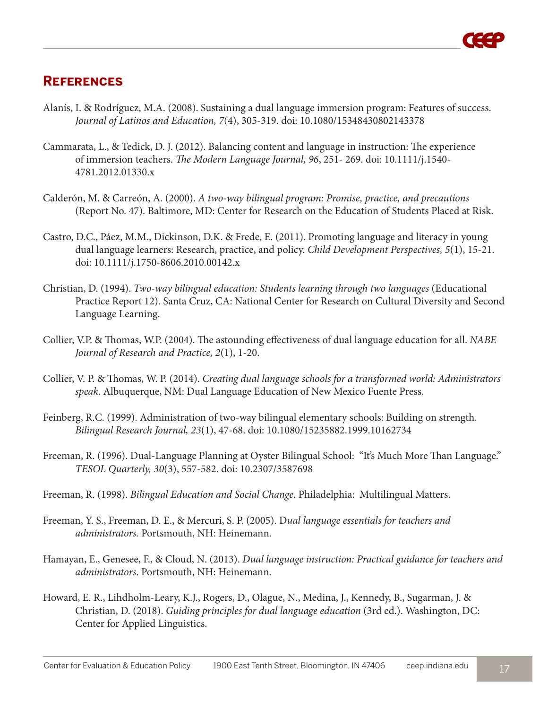# **References**

- Alanís, I. & Rodríguez, M.A. (2008). Sustaining a dual language immersion program: Features of success. *Journal of Latinos and Education, 7*(4), 305-319. doi: 10.1080/15348430802143378
- Cammarata, L., & Tedick, D. J. (2012). Balancing content and language in instruction: The experience of immersion teachers. *The Modern Language Journal, 96*, 251- 269. doi: 10.1111/j.1540- 4781.2012.01330.x
- Calderón, M. & Carreón, A. (2000). *A two-way bilingual program: Promise, practice, and precautions* (Report No. 47). Baltimore, MD: Center for Research on the Education of Students Placed at Risk.
- Castro, D.C., Páez, M.M., Dickinson, D.K. & Frede, E. (2011). Promoting language and literacy in young dual language learners: Research, practice, and policy. *Child Development Perspectives, 5*(1), 15-21. doi: 10.1111/j.1750-8606.2010.00142.x
- Christian, D. (1994). *Two-way bilingual education: Students learning through two languages* (Educational Practice Report 12). Santa Cruz, CA: National Center for Research on Cultural Diversity and Second Language Learning.
- Collier, V.P. & Thomas, W.P. (2004). The astounding effectiveness of dual language education for all. *NABE Journal of Research and Practice, 2*(1), 1-20.
- Collier, V. P. & Thomas, W. P. (2014). *Creating dual language schools for a transformed world: Administrators speak*. Albuquerque, NM: Dual Language Education of New Mexico Fuente Press.
- Feinberg, R.C. (1999). Administration of two-way bilingual elementary schools: Building on strength. *Bilingual Research Journal, 23*(1), 47-68. doi: 10.1080/15235882.1999.10162734
- Freeman, R. (1996). Dual-Language Planning at Oyster Bilingual School: "It's Much More Than Language." *TESOL Quarterly, 30*(3), 557-582. doi: 10.2307/3587698
- Freeman, R. (1998). *Bilingual Education and Social Change*. Philadelphia: Multilingual Matters.
- Freeman, Y. S., Freeman, D. E., & Mercuri, S. P. (2005). D*ual language essentials for teachers and administrators.* Portsmouth, NH: Heinemann.
- Hamayan, E., Genesee, F., & Cloud, N. (2013). *Dual language instruction: Practical guidance for teachers and administrators*. Portsmouth, NH: Heinemann.
- Howard, E. R., Lihdholm-Leary, K.J., Rogers, D., Olague, N., Medina, J., Kennedy, B., Sugarman, J. & Christian, D. (2018). *Guiding principles for dual language education* (3rd ed.). Washington, DC: Center for Applied Linguistics.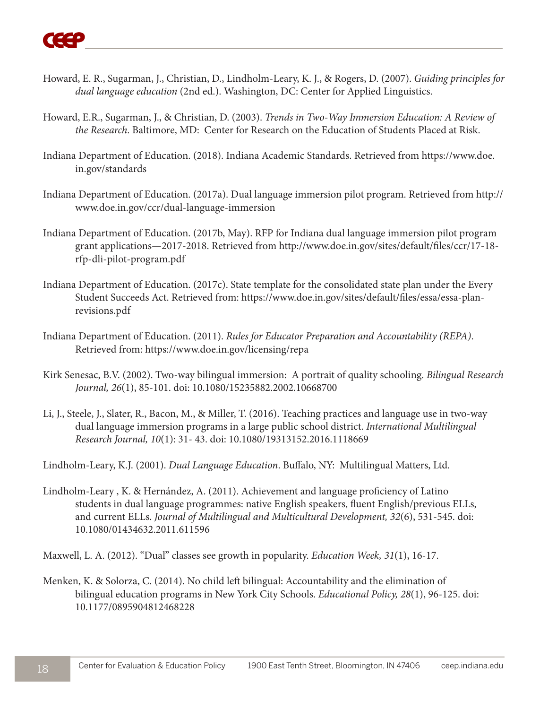- Howard, E. R., Sugarman, J., Christian, D., Lindholm-Leary, K. J., & Rogers, D. (2007). *Guiding principles for dual language education* (2nd ed.). Washington, DC: Center for Applied Linguistics.
- Howard, E.R., Sugarman, J., & Christian, D. (2003). *Trends in Two-Way Immersion Education: A Review of the Research*. Baltimore, MD: Center for Research on the Education of Students Placed at Risk.
- Indiana Department of Education. (2018). Indiana Academic Standards. Retrieved from https://www.doe. in.gov/standards
- Indiana Department of Education. (2017a). Dual language immersion pilot program. Retrieved from http:// www.doe.in.gov/ccr/dual-language-immersion
- Indiana Department of Education. (2017b, May). RFP for Indiana dual language immersion pilot program grant applications—2017-2018. Retrieved from http://www.doe.in.gov/sites/default/files/ccr/17-18 rfp-dli-pilot-program.pdf
- Indiana Department of Education. (2017c). State template for the consolidated state plan under the Every Student Succeeds Act. Retrieved from: https://www.doe.in.gov/sites/default/files/essa/essa-planrevisions.pdf
- Indiana Department of Education. (2011). *Rules for Educator Preparation and Accountability (REPA)*. Retrieved from: https://www.doe.in.gov/licensing/repa
- Kirk Senesac, B.V. (2002). Two-way bilingual immersion: A portrait of quality schooling. *Bilingual Research Journal, 26*(1), 85-101. doi: 10.1080/15235882.2002.10668700
- Li, J., Steele, J., Slater, R., Bacon, M., & Miller, T. (2016). Teaching practices and language use in two-way dual language immersion programs in a large public school district. *International Multilingual Research Journal, 10*(1): 31- 43. doi: 10.1080/19313152.2016.1118669

Lindholm-Leary, K.J. (2001). *Dual Language Education*. Buffalo, NY: Multilingual Matters, Ltd.

Lindholm-Leary , K. & Hernández, A. (2011). Achievement and language proficiency of Latino students in dual language programmes: native English speakers, fluent English/previous ELLs, and current ELLs. *Journal of Multilingual and Multicultural Development, 32*(6), 531-545. doi: 10.1080/01434632.2011.611596

Maxwell, L. A. (2012). "Dual" classes see growth in popularity. *Education Week, 31*(1), 16-17.

Menken, K. & Solorza, C. (2014). No child left bilingual: Accountability and the elimination of bilingual education programs in New York City Schools. *Educational Policy, 28*(1), 96-125. doi: 10.1177/0895904812468228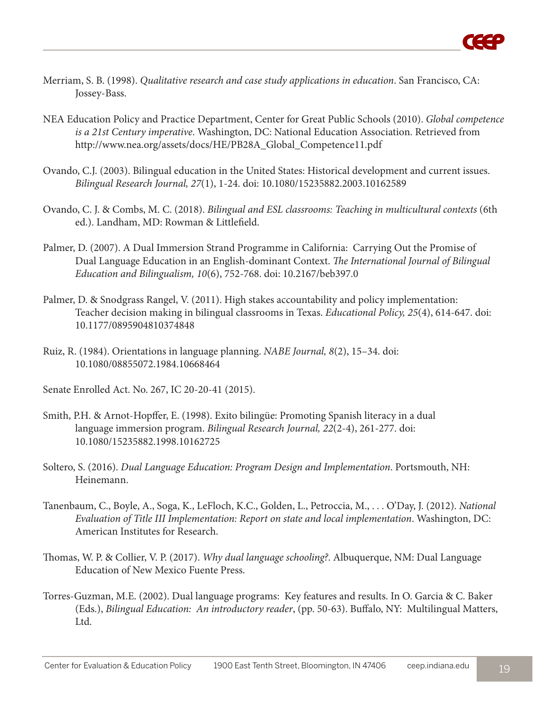

- Merriam, S. B. (1998). *Qualitative research and case study applications in education*. San Francisco, CA: Jossey-Bass.
- NEA Education Policy and Practice Department, Center for Great Public Schools (2010). *Global competence is a 21st Century imperative*. Washington, DC: National Education Association. Retrieved from http://www.nea.org/assets/docs/HE/PB28A\_Global\_Competence11.pdf
- Ovando, C.J. (2003). Bilingual education in the United States: Historical development and current issues. *Bilingual Research Journal, 27*(1), 1-24. doi: 10.1080/15235882.2003.10162589
- Ovando, C. J. & Combs, M. C. (2018). *Bilingual and ESL classrooms: Teaching in multicultural contexts* (6th ed.). Landham, MD: Rowman & Littlefield.
- Palmer, D. (2007). A Dual Immersion Strand Programme in California: Carrying Out the Promise of Dual Language Education in an English-dominant Context. *The International Journal of Bilingual Education and Bilingualism, 10*(6), 752-768. doi: 10.2167/beb397.0
- Palmer, D. & Snodgrass Rangel, V. (2011). High stakes accountability and policy implementation: Teacher decision making in bilingual classrooms in Texas. *Educational Policy, 25*(4), 614-647. doi: 10.1177/0895904810374848
- Ruiz, R. (1984). Orientations in language planning. *NABE Journal, 8*(2), 15–34. doi: 10.1080/08855072.1984.10668464
- Senate Enrolled Act. No. 267, IC 20-20-41 (2015).
- Smith, P.H. & Arnot-Hopffer, E. (1998). Exito bilingüe: Promoting Spanish literacy in a dual language immersion program. *Bilingual Research Journal, 22*(2-4), 261-277. doi: 10.1080/15235882.1998.10162725
- Soltero, S. (2016). *Dual Language Education: Program Design and Implementation*. Portsmouth, NH: Heinemann.
- Tanenbaum, C., Boyle, A., Soga, K., LeFloch, K.C., Golden, L., Petroccia, M., . . . O'Day, J. (2012). *National Evaluation of Title III Implementation: Report on state and local implementation*. Washington, DC: American Institutes for Research.
- Thomas, W. P. & Collier, V. P. (2017). *Why dual language schooling?*. Albuquerque, NM: Dual Language Education of New Mexico Fuente Press.
- Torres-Guzman, M.E. (2002). Dual language programs: Key features and results. In O. Garcia & C. Baker (Eds.), *Bilingual Education: An introductory reader*, (pp. 50-63). Buffalo, NY: Multilingual Matters, Ltd.